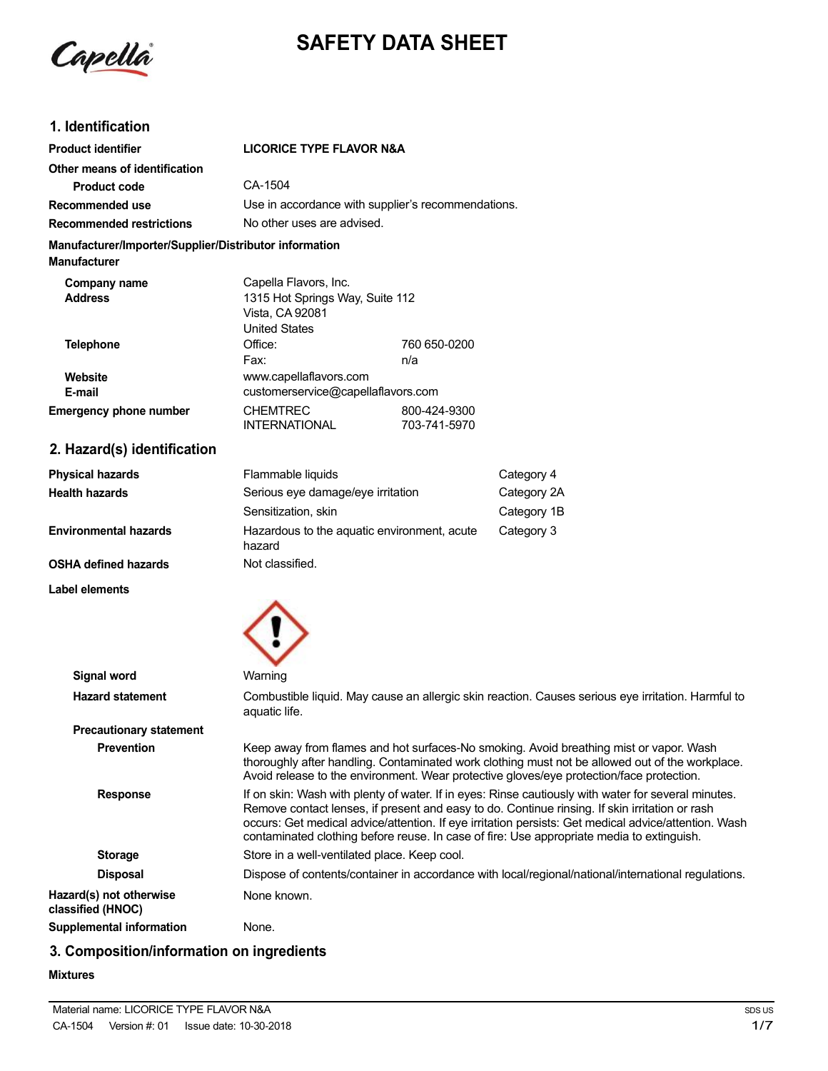

# **SAFETY DATA SHEET**

# **1. Identification**

| <b>Product identifier</b>                                                     | <b>LICORICE TYPE FLAVOR N&amp;A</b>                                                                 |                                                    |
|-------------------------------------------------------------------------------|-----------------------------------------------------------------------------------------------------|----------------------------------------------------|
| Other means of identification                                                 |                                                                                                     |                                                    |
| Product code                                                                  | CA-1504                                                                                             |                                                    |
| Recommended use                                                               |                                                                                                     | Use in accordance with supplier's recommendations. |
| <b>Recommended restrictions</b>                                               | No other uses are advised.                                                                          |                                                    |
| Manufacturer/Importer/Supplier/Distributor information<br><b>Manufacturer</b> |                                                                                                     |                                                    |
| Company name<br><b>Address</b>                                                | Capella Flavors, Inc.<br>1315 Hot Springs Way, Suite 112<br>Vista, CA 92081<br><b>United States</b> |                                                    |
| Telephone                                                                     | Office:<br>Fax:                                                                                     | 760 650-0200<br>n/a                                |
| Website<br>E-mail                                                             | www.capellaflavors.com<br>customerservice@capellaflavors.com                                        |                                                    |
| <b>Emergency phone number</b>                                                 | <b>CHEMTREC</b><br><b>INTERNATIONAL</b>                                                             | 800-424-9300<br>703-741-5970                       |

# **2. Hazard(s) identification**

**Physical hazards Health hazards**

**Environmental hazards**

**OSHA defined hazards**

**Label elements**

| Flammable liquids                                     | Category 4  |
|-------------------------------------------------------|-------------|
| Serious eye damage/eye irritation                     | Category 2A |
| Sensitization, skin                                   | Category 1B |
| Hazardous to the aquatic environment, acute<br>hazard | Category 3  |
| Not classified.                                       |             |



| Signal word                                  | Warning                                                                                                                                                                                                                                                                                                                                                                                                    |
|----------------------------------------------|------------------------------------------------------------------------------------------------------------------------------------------------------------------------------------------------------------------------------------------------------------------------------------------------------------------------------------------------------------------------------------------------------------|
| <b>Hazard statement</b>                      | Combustible liquid. May cause an allergic skin reaction. Causes serious eye irritation. Harmful to<br>aquatic life.                                                                                                                                                                                                                                                                                        |
| <b>Precautionary statement</b>               |                                                                                                                                                                                                                                                                                                                                                                                                            |
| <b>Prevention</b>                            | Keep away from flames and hot surfaces-No smoking. Avoid breathing mist or vapor. Wash<br>thoroughly after handling. Contaminated work clothing must not be allowed out of the workplace.<br>Avoid release to the environment. Wear protective gloves/eye protection/face protection.                                                                                                                      |
| <b>Response</b>                              | If on skin: Wash with plenty of water. If in eyes: Rinse cautiously with water for several minutes.<br>Remove contact lenses, if present and easy to do. Continue rinsing. If skin irritation or rash<br>occurs: Get medical advice/attention. If eye irritation persists: Get medical advice/attention. Wash<br>contaminated clothing before reuse. In case of fire: Use appropriate media to extinguish. |
| <b>Storage</b>                               | Store in a well-ventilated place. Keep cool.                                                                                                                                                                                                                                                                                                                                                               |
| <b>Disposal</b>                              | Dispose of contents/container in accordance with local/regional/national/international regulations.                                                                                                                                                                                                                                                                                                        |
| Hazard(s) not otherwise<br>classified (HNOC) | None known.                                                                                                                                                                                                                                                                                                                                                                                                |
| Supplemental information                     | None.                                                                                                                                                                                                                                                                                                                                                                                                      |
|                                              |                                                                                                                                                                                                                                                                                                                                                                                                            |

# **3. Composition/information on ingredients**

### **Mixtures**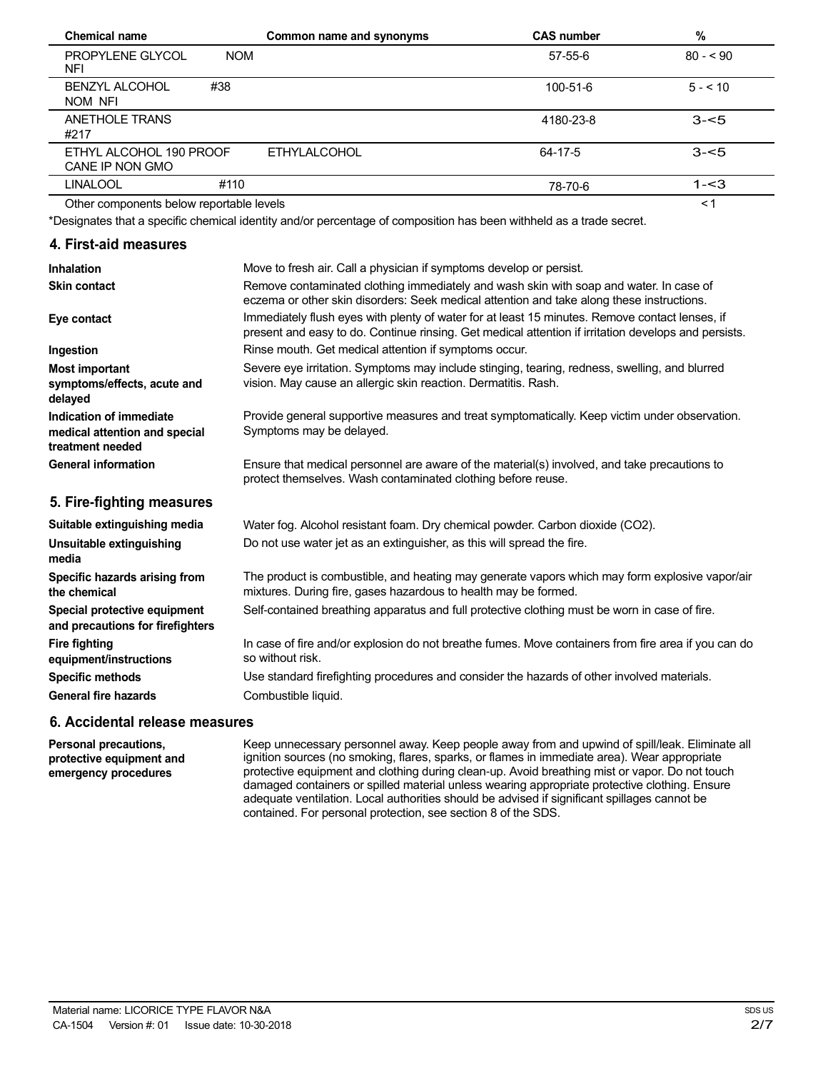| <b>Chemical name</b>                       |            | Common name and synonyms | <b>CAS number</b> | %         |
|--------------------------------------------|------------|--------------------------|-------------------|-----------|
| <b>PROPYLENE GLYCOL</b><br>NFI             | <b>NOM</b> |                          | $57-55-6$         | $80 - 90$ |
| <b>BENZYL ALCOHOL</b><br>NOM NFI           | #38        |                          | $100 - 51 - 6$    | $5 - 10$  |
| ANETHOLE TRANS<br>#217                     |            |                          | 4180-23-8         | $3 - 5$   |
| ETHYL ALCOHOL 190 PROOF<br>CANE IP NON GMO |            | <b>ETHYLALCOHOL</b>      | 64-17-5           | $3 - 5$   |
| <b>LINALOOL</b>                            | #110       |                          | 78-70-6           | $1 - 3$   |
| Other components below reportable levels   |            |                          |                   | $\leq$ 1  |

Other components below reportable levels

\*Designates that a specific chemical identity and/or percentage of composition has been withheld as a trade secret.

### **4. First-aid measures**

| Inhalation                                                                   | Move to fresh air. Call a physician if symptoms develop or persist.                                                                                                                                    |
|------------------------------------------------------------------------------|--------------------------------------------------------------------------------------------------------------------------------------------------------------------------------------------------------|
| <b>Skin contact</b>                                                          | Remove contaminated clothing immediately and wash skin with soap and water. In case of<br>eczema or other skin disorders: Seek medical attention and take along these instructions.                    |
| Eye contact                                                                  | Immediately flush eyes with plenty of water for at least 15 minutes. Remove contact lenses, if<br>present and easy to do. Continue rinsing. Get medical attention if irritation develops and persists. |
| Ingestion                                                                    | Rinse mouth. Get medical attention if symptoms occur.                                                                                                                                                  |
| <b>Most important</b><br>symptoms/effects, acute and<br>delayed              | Severe eye irritation. Symptoms may include stinging, tearing, redness, swelling, and blurred<br>vision. May cause an allergic skin reaction. Dermatitis. Rash.                                        |
| Indication of immediate<br>medical attention and special<br>treatment needed | Provide general supportive measures and treat symptomatically. Keep victim under observation.<br>Symptoms may be delayed.                                                                              |
| <b>General information</b>                                                   | Ensure that medical personnel are aware of the material(s) involved, and take precautions to<br>protect themselves. Wash contaminated clothing before reuse.                                           |
| 5. Fire-fighting measures                                                    |                                                                                                                                                                                                        |
| Suitable extinguishing media                                                 | Water fog. Alcohol resistant foam. Dry chemical powder. Carbon dioxide (CO2).                                                                                                                          |
| Unsuitable extinguishing<br>media                                            | Do not use water jet as an extinguisher, as this will spread the fire.                                                                                                                                 |
| Specific hazards arising from<br>the chemical                                | The product is combustible, and heating may generate vapors which may form explosive vapor/air<br>mixtures. During fire, gases hazardous to health may be formed.                                      |
| Special protective equipment<br>and precautions for firefighters             | Self-contained breathing apparatus and full protective clothing must be worn in case of fire.                                                                                                          |
| <b>Fire fighting</b><br>equipment/instructions                               | In case of fire and/or explosion do not breathe fumes. Move containers from fire area if you can do<br>so without risk.                                                                                |

Use standard firefighting procedures and consider the hazards of other involved materials. Combustible liquid.

### **6. Accidental release measures**

**Personal precautions, protective equipment and emergency procedures**

**Specific methods General fire hazards**

> Keep unnecessary personnel away. Keep people away from and upwind of spill/leak. Eliminate all ignition sources (no smoking, flares, sparks, or flames in immediate area). Wear appropriate protective equipment and clothing during clean-up. Avoid breathing mist or vapor. Do not touch damaged containers or spilled material unless wearing appropriate protective clothing. Ensure adequate ventilation. Local authorities should be advised if significant spillages cannot be contained. For personal protection, see section 8 of the SDS.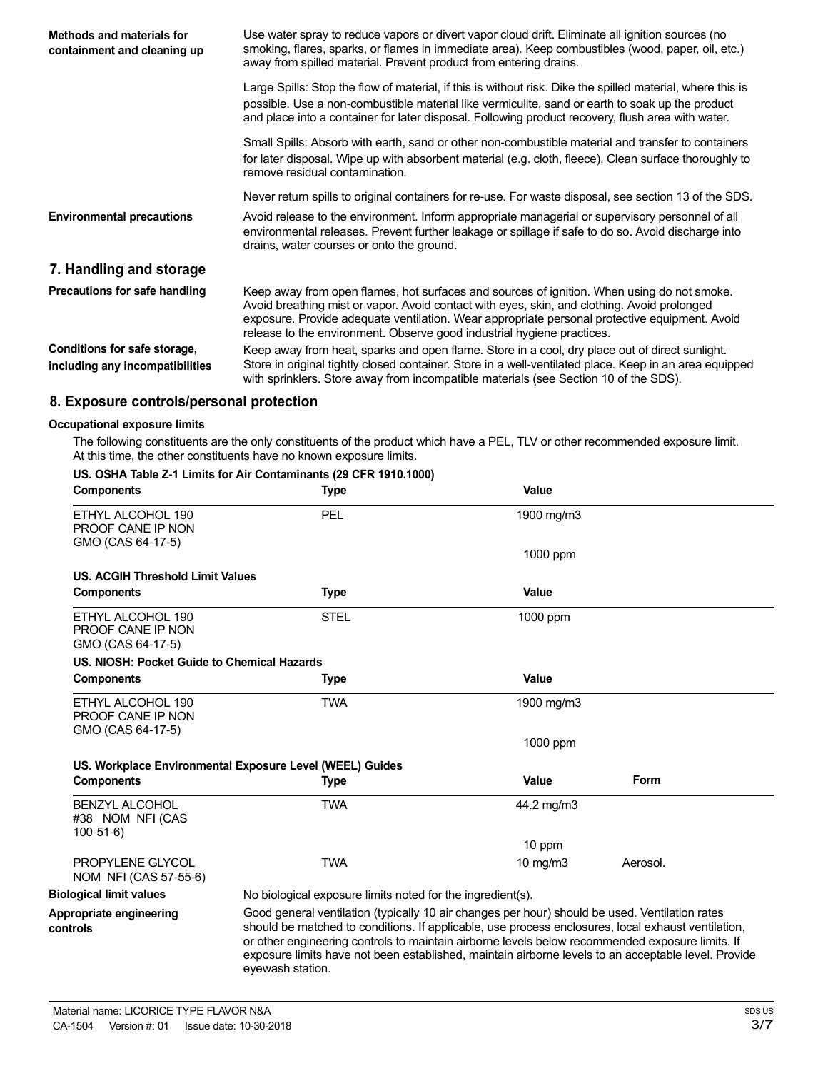| Methods and materials for<br>containment and cleaning up        | Use water spray to reduce vapors or divert vapor cloud drift. Eliminate all ignition sources (no<br>smoking, flares, sparks, or flames in immediate area). Keep combustibles (wood, paper, oil, etc.)<br>away from spilled material. Prevent product from entering drains.                                                                                           |  |
|-----------------------------------------------------------------|----------------------------------------------------------------------------------------------------------------------------------------------------------------------------------------------------------------------------------------------------------------------------------------------------------------------------------------------------------------------|--|
|                                                                 | Large Spills: Stop the flow of material, if this is without risk. Dike the spilled material, where this is<br>possible. Use a non-combustible material like vermiculite, sand or earth to soak up the product<br>and place into a container for later disposal. Following product recovery, flush area with water.                                                   |  |
|                                                                 | Small Spills: Absorb with earth, sand or other non-combustible material and transfer to containers<br>for later disposal. Wipe up with absorbent material (e.g. cloth, fleece). Clean surface thoroughly to<br>remove residual contamination.                                                                                                                        |  |
|                                                                 | Never return spills to original containers for re-use. For waste disposal, see section 13 of the SDS.                                                                                                                                                                                                                                                                |  |
| <b>Environmental precautions</b>                                | Avoid release to the environment. Inform appropriate managerial or supervisory personnel of all<br>environmental releases. Prevent further leakage or spillage if safe to do so. Avoid discharge into<br>drains, water courses or onto the ground.                                                                                                                   |  |
| 7. Handling and storage                                         |                                                                                                                                                                                                                                                                                                                                                                      |  |
| Precautions for safe handling                                   | Keep away from open flames, hot surfaces and sources of ignition. When using do not smoke.<br>Avoid breathing mist or vapor. Avoid contact with eyes, skin, and clothing. Avoid prolonged<br>exposure. Provide adequate ventilation. Wear appropriate personal protective equipment. Avoid<br>release to the environment. Observe good industrial hygiene practices. |  |
| Conditions for safe storage,<br>including any incompatibilities | Keep away from heat, sparks and open flame. Store in a cool, dry place out of direct sunlight.<br>Store in original tightly closed container. Store in a well-ventilated place. Keep in an area equipped<br>with sprinklers. Store away from incompatible materials (see Section 10 of the SDS).                                                                     |  |

# **8. Exposure controls/personal protection**

#### **Occupational exposure limits**

The following constituents are the only constituents of the product which have a PEL, TLV or other recommended exposure limit. At this time, the other constituents have no known exposure limits.

#### **US. OSHA Table Z-1 Limits for Air Contaminants (29 CFR 1910.1000)**

| <b>Components</b>                                           | <b>Type</b>                                                                                                                                                                                                                                                                                                                                                                                                                        | Value      |             |  |
|-------------------------------------------------------------|------------------------------------------------------------------------------------------------------------------------------------------------------------------------------------------------------------------------------------------------------------------------------------------------------------------------------------------------------------------------------------------------------------------------------------|------------|-------------|--|
| ETHYL ALCOHOL 190<br>PROOF CANE IP NON<br>GMO (CAS 64-17-5) | PEL                                                                                                                                                                                                                                                                                                                                                                                                                                | 1900 mg/m3 |             |  |
|                                                             |                                                                                                                                                                                                                                                                                                                                                                                                                                    | 1000 ppm   |             |  |
| US. ACGIH Threshold Limit Values                            |                                                                                                                                                                                                                                                                                                                                                                                                                                    |            |             |  |
| <b>Components</b>                                           | <b>Type</b>                                                                                                                                                                                                                                                                                                                                                                                                                        | Value      |             |  |
| ETHYL ALCOHOL 190<br>PROOF CANE IP NON<br>GMO (CAS 64-17-5) | <b>STEL</b>                                                                                                                                                                                                                                                                                                                                                                                                                        | 1000 ppm   |             |  |
| US. NIOSH: Pocket Guide to Chemical Hazards                 |                                                                                                                                                                                                                                                                                                                                                                                                                                    |            |             |  |
| <b>Components</b>                                           | Type                                                                                                                                                                                                                                                                                                                                                                                                                               | Value      |             |  |
| ETHYL ALCOHOL 190<br>PROOF CANE IP NON                      | <b>TWA</b>                                                                                                                                                                                                                                                                                                                                                                                                                         | 1900 mg/m3 |             |  |
| GMO (CAS 64-17-5)                                           |                                                                                                                                                                                                                                                                                                                                                                                                                                    | 1000 ppm   |             |  |
|                                                             | US. Workplace Environmental Exposure Level (WEEL) Guides                                                                                                                                                                                                                                                                                                                                                                           |            |             |  |
| <b>Components</b>                                           | <b>Type</b>                                                                                                                                                                                                                                                                                                                                                                                                                        | Value      | <b>Form</b> |  |
| <b>BENZYL ALCOHOL</b><br>#38 NOM NFI (CAS<br>$100-51-6$     | <b>TWA</b>                                                                                                                                                                                                                                                                                                                                                                                                                         | 44.2 mg/m3 |             |  |
|                                                             |                                                                                                                                                                                                                                                                                                                                                                                                                                    | 10 ppm     |             |  |
| PROPYLENE GLYCOL<br>NOM NFI (CAS 57-55-6)                   | <b>TWA</b>                                                                                                                                                                                                                                                                                                                                                                                                                         | 10 mg/m3   | Aerosol.    |  |
| <b>Biological limit values</b>                              | No biological exposure limits noted for the ingredient(s).                                                                                                                                                                                                                                                                                                                                                                         |            |             |  |
| Appropriate engineering<br>controls                         | Good general ventilation (typically 10 air changes per hour) should be used. Ventilation rates<br>should be matched to conditions. If applicable, use process enclosures, local exhaust ventilation,<br>or other engineering controls to maintain airborne levels below recommended exposure limits. If<br>exposure limits have not been established, maintain airborne levels to an acceptable level. Provide<br>evewash station. |            |             |  |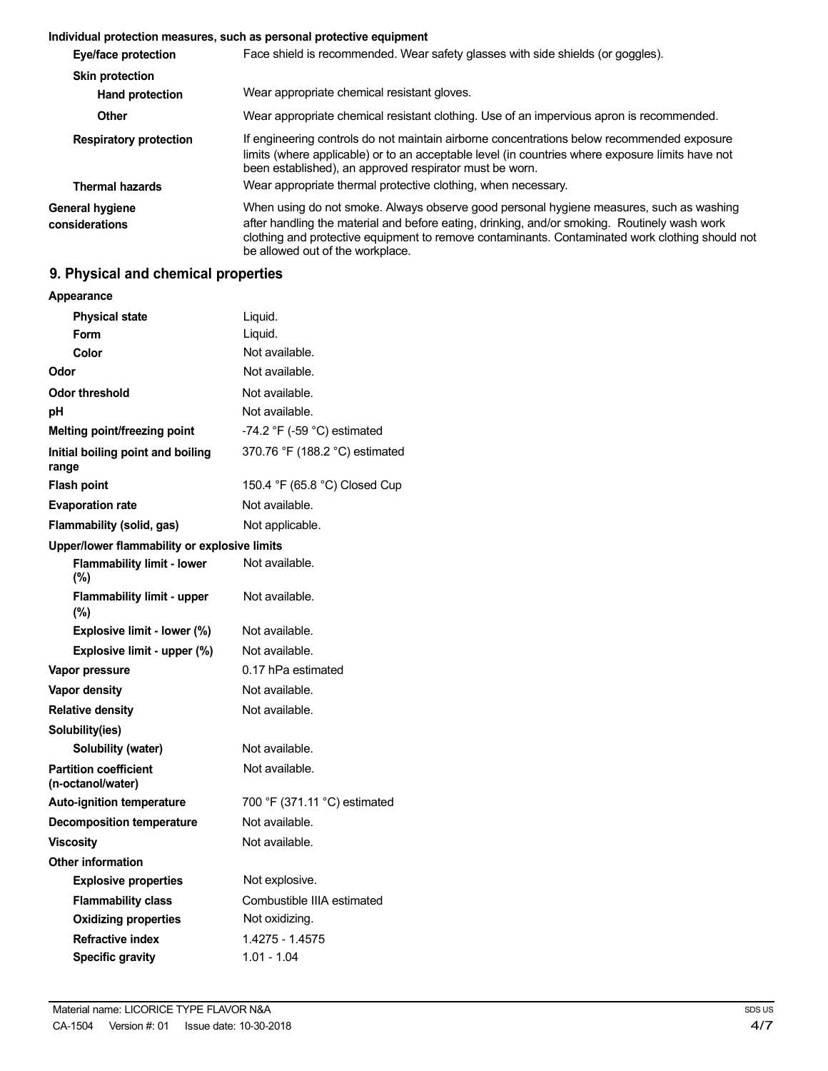#### **Individual protection measures, such as personal protective equipment**

| Eye/face protection               | Face shield is recommended. Wear safety glasses with side shields (or goggles).                                                                                                                                                                                                                                                |
|-----------------------------------|--------------------------------------------------------------------------------------------------------------------------------------------------------------------------------------------------------------------------------------------------------------------------------------------------------------------------------|
| <b>Skin protection</b>            |                                                                                                                                                                                                                                                                                                                                |
| <b>Hand protection</b>            | Wear appropriate chemical resistant gloves.                                                                                                                                                                                                                                                                                    |
| Other                             | Wear appropriate chemical resistant clothing. Use of an impervious apron is recommended.                                                                                                                                                                                                                                       |
| <b>Respiratory protection</b>     | If engineering controls do not maintain airborne concentrations below recommended exposure<br>limits (where applicable) or to an acceptable level (in countries where exposure limits have not<br>been established), an approved respirator must be worn.                                                                      |
| <b>Thermal hazards</b>            | Wear appropriate thermal protective clothing, when necessary.                                                                                                                                                                                                                                                                  |
| General hygiene<br>considerations | When using do not smoke. Always observe good personal hygiene measures, such as washing<br>after handling the material and before eating, drinking, and/or smoking. Routinely wash work<br>clothing and protective equipment to remove contaminants. Contaminated work clothing should not<br>be allowed out of the workplace. |

# **9. Physical and chemical properties**

| <b>Appearance</b>                                 |                                |
|---------------------------------------------------|--------------------------------|
| <b>Physical state</b>                             | Liquid.                        |
| Form                                              | Liquid.                        |
| Color                                             | Not available.                 |
| Odor                                              | Not available.                 |
| <b>Odor threshold</b>                             | Not available.                 |
| рH                                                | Not available.                 |
| Melting point/freezing point                      | -74.2 °F (-59 °C) estimated    |
| Initial boiling point and boiling<br>range        | 370.76 °F (188.2 °C) estimated |
| <b>Flash point</b>                                | 150.4 °F (65.8 °C) Closed Cup  |
| <b>Evaporation rate</b>                           | Not available.                 |
| Flammability (solid, gas)                         | Not applicable.                |
| Upper/lower flammability or explosive limits      |                                |
| <b>Flammability limit - lower</b><br>$(\%)$       | Not available.                 |
| <b>Flammability limit - upper</b><br>$(\%)$       | Not available.                 |
| Explosive limit - lower (%)                       | Not available.                 |
| Explosive limit - upper (%)                       | Not available.                 |
| Vapor pressure                                    | 0.17 hPa estimated             |
| <b>Vapor density</b>                              | Not available.                 |
| <b>Relative density</b>                           | Not available.                 |
| Solubility(ies)                                   |                                |
| Solubility (water)                                | Not available.                 |
| <b>Partition coefficient</b><br>(n-octanol/water) | Not available.                 |
| <b>Auto-ignition temperature</b>                  | 700 °F (371.11 °C) estimated   |
| <b>Decomposition temperature</b>                  | Not available.                 |
| <b>Viscosity</b>                                  | Not available.                 |
| <b>Other information</b>                          |                                |
| <b>Explosive properties</b>                       | Not explosive.                 |
| <b>Flammability class</b>                         | Combustible IIIA estimated     |
| <b>Oxidizing properties</b>                       | Not oxidizing.                 |
| <b>Refractive index</b>                           | 1.4275 - 1.4575                |
| <b>Specific gravity</b>                           | $1.01 - 1.04$                  |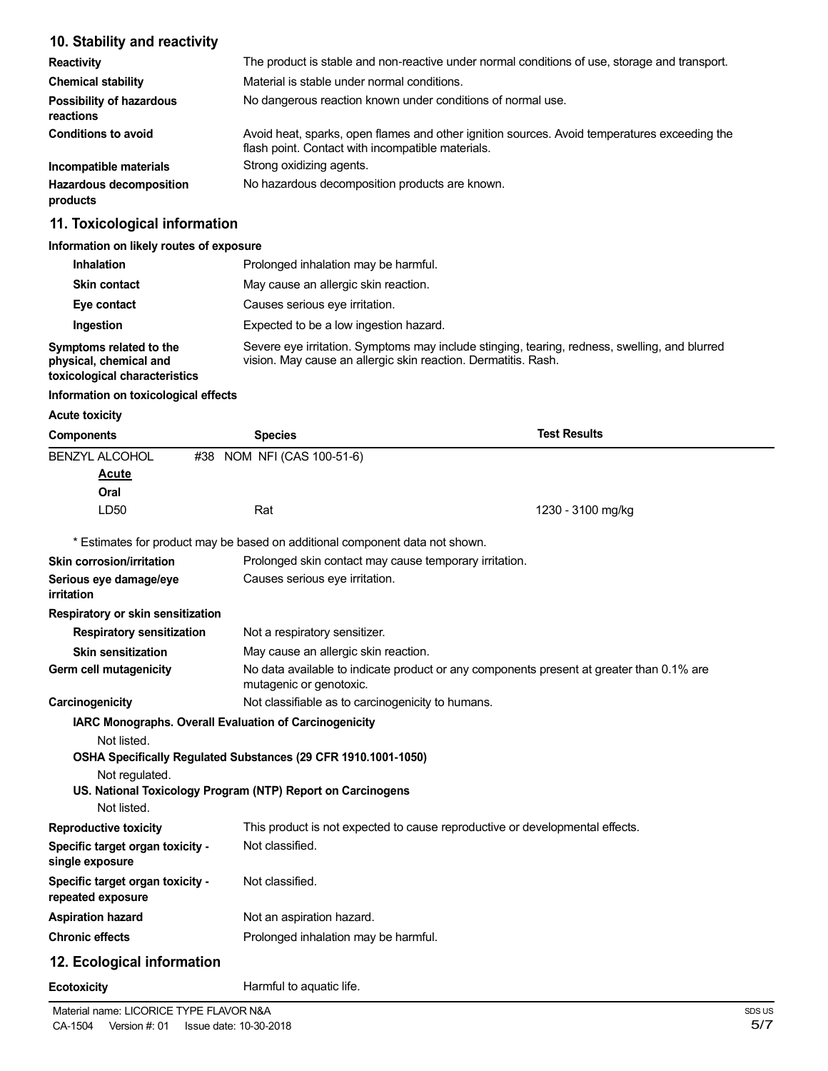# **10. Stability and reactivity**

| <b>Reactivity</b>                            | The product is stable and non-reactive under normal conditions of use, storage and transport.                                                     |
|----------------------------------------------|---------------------------------------------------------------------------------------------------------------------------------------------------|
| <b>Chemical stability</b>                    | Material is stable under normal conditions.                                                                                                       |
| <b>Possibility of hazardous</b><br>reactions | No dangerous reaction known under conditions of normal use.                                                                                       |
| <b>Conditions to avoid</b>                   | Avoid heat, sparks, open flames and other ignition sources. Avoid temperatures exceeding the<br>flash point. Contact with incompatible materials. |
| Incompatible materials                       | Strong oxidizing agents.                                                                                                                          |
| <b>Hazardous decomposition</b><br>products   | No hazardous decomposition products are known.                                                                                                    |

# **11. Toxicological information**

#### **Information on likely routes of exposure**

| <b>Inhalation</b>                                                                  | Prolonged inhalation may be harmful.                                                                                                                            |  |
|------------------------------------------------------------------------------------|-----------------------------------------------------------------------------------------------------------------------------------------------------------------|--|
| <b>Skin contact</b>                                                                | May cause an allergic skin reaction.                                                                                                                            |  |
| Eye contact                                                                        | Causes serious eye irritation.                                                                                                                                  |  |
| Ingestion                                                                          | Expected to be a low ingestion hazard.                                                                                                                          |  |
| Symptoms related to the<br>physical, chemical and<br>toxicological characteristics | Severe eye irritation. Symptoms may include stinging, tearing, redness, swelling, and blurred<br>vision. May cause an allergic skin reaction. Dermatitis. Rash. |  |

# **Information on toxicological effects**

#### **Acute toxicity**

| <b>Components</b>                                     | <b>Species</b>                                                               | <b>Test Results</b>                                                                      |
|-------------------------------------------------------|------------------------------------------------------------------------------|------------------------------------------------------------------------------------------|
| BENZYL ALCOHOL                                        | NOM NFI (CAS 100-51-6)<br>#38                                                |                                                                                          |
| Acute                                                 |                                                                              |                                                                                          |
| Oral                                                  |                                                                              |                                                                                          |
| LD50                                                  | Rat                                                                          | 1230 - 3100 mg/kg                                                                        |
|                                                       | * Estimates for product may be based on additional component data not shown. |                                                                                          |
| Skin corrosion/irritation                             |                                                                              | Prolonged skin contact may cause temporary irritation.                                   |
| Serious eye damage/eye<br>irritation                  | Causes serious eye irritation.                                               |                                                                                          |
| Respiratory or skin sensitization                     |                                                                              |                                                                                          |
| <b>Respiratory sensitization</b>                      | Not a respiratory sensitizer.                                                |                                                                                          |
| <b>Skin sensitization</b>                             | May cause an allergic skin reaction.                                         |                                                                                          |
| Germ cell mutagenicity                                | mutagenic or genotoxic.                                                      | No data available to indicate product or any components present at greater than 0.1% are |
| Carcinogenicity                                       | Not classifiable as to carcinogenicity to humans.                            |                                                                                          |
|                                                       | IARC Monographs. Overall Evaluation of Carcinogenicity                       |                                                                                          |
| Not listed.                                           |                                                                              |                                                                                          |
|                                                       | OSHA Specifically Regulated Substances (29 CFR 1910.1001-1050)               |                                                                                          |
| Not regulated.                                        |                                                                              |                                                                                          |
|                                                       | US. National Toxicology Program (NTP) Report on Carcinogens                  |                                                                                          |
| Not listed.                                           |                                                                              |                                                                                          |
| <b>Reproductive toxicity</b>                          |                                                                              | This product is not expected to cause reproductive or developmental effects.             |
| Specific target organ toxicity -<br>single exposure   | Not classified.                                                              |                                                                                          |
| Specific target organ toxicity -<br>repeated exposure | Not classified.                                                              |                                                                                          |
| <b>Aspiration hazard</b>                              | Not an aspiration hazard.                                                    |                                                                                          |
| <b>Chronic effects</b>                                | Prolonged inhalation may be harmful.                                         |                                                                                          |
| 12. Ecological information                            |                                                                              |                                                                                          |
| <b>Ecotoxicity</b>                                    | Harmful to aquatic life.                                                     |                                                                                          |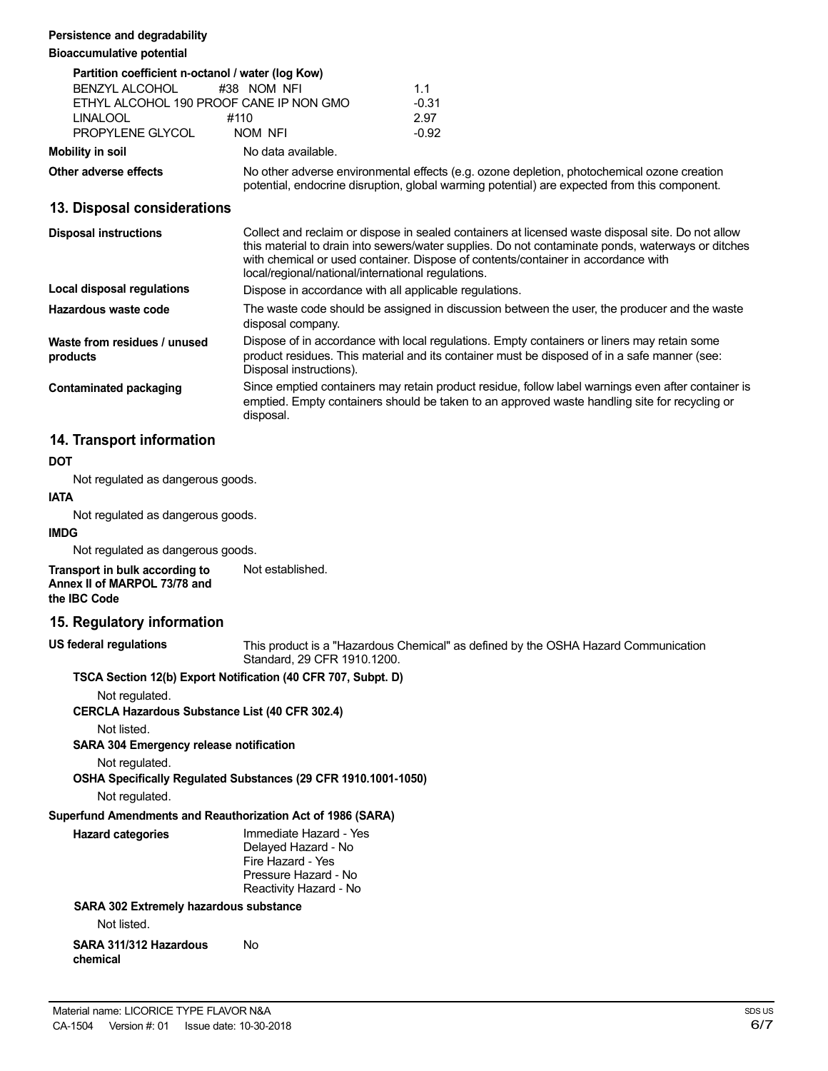#### **Persistence and degradability**

### **Bioaccumulative potential**

| Partition coefficient n-octanol / water (log Kow) |                                              |         |
|---------------------------------------------------|----------------------------------------------|---------|
| BENZYL ALCOHOL                                    | #38 NOM NFI                                  | 11      |
|                                                   | ETHYL ALCOHOL 190 PROOF CANE IP NON GMO      | $-0.31$ |
| <b>LINALOOL</b>                                   | #110                                         | 2.97    |
| PROPYLENE GLYCOL                                  | NOM NFI                                      | $-0.92$ |
| Mobility in soil                                  | No data available.                           |         |
| Other adverse effects                             | No other adverse environmental effects (e.g. |         |

**Other adverse effects** No other adverse environmental effects (e.g. ozone depletion, photochemical ozone creation potential, endocrine disruption, global warming potential) are expected from this component.

# **13. Disposal considerations**

| <b>Disposal instructions</b>             | Collect and reclaim or dispose in sealed containers at licensed waste disposal site. Do not allow<br>this material to drain into sewers/water supplies. Do not contaminate ponds, waterways or ditches<br>with chemical or used container. Dispose of contents/container in accordance with<br>local/regional/national/international regulations. |
|------------------------------------------|---------------------------------------------------------------------------------------------------------------------------------------------------------------------------------------------------------------------------------------------------------------------------------------------------------------------------------------------------|
| <b>Local disposal regulations</b>        | Dispose in accordance with all applicable regulations.                                                                                                                                                                                                                                                                                            |
| Hazardous waste code                     | The waste code should be assigned in discussion between the user, the producer and the waste<br>disposal company.                                                                                                                                                                                                                                 |
| Waste from residues / unused<br>products | Dispose of in accordance with local regulations. Empty containers or liners may retain some<br>product residues. This material and its container must be disposed of in a safe manner (see:<br>Disposal instructions).                                                                                                                            |
| Contaminated packaging                   | Since emptied containers may retain product residue, follow label warnings even after container is<br>emptied. Empty containers should be taken to an approved waste handling site for recycling or<br>disposal.                                                                                                                                  |

# **14. Transport information**

#### **DOT**

Not regulated as dangerous goods.

### **IATA**

Not regulated as dangerous goods.

### **IMDG**

Not regulated as dangerous goods.

**Transport in bulk according to Annex II of MARPOL 73/78 and the IBC Code** Not established.

# **15. Regulatory information**

**US federal regulations**

This product is a "Hazardous Chemical" as defined by the OSHA Hazard Communication Standard, 29 CFR 1910.1200.

### **TSCA Section 12(b) Export Notification (40 CFR 707, Subpt. D)**

Not regulated.

**CERCLA Hazardous Substance List (40 CFR 302.4)**

Not listed.

#### **SARA 304 Emergency release notification**

Not regulated.

**OSHA Specifically Regulated Substances (29 CFR 1910.1001-1050)**

Not regulated.

# **Superfund Amendments and Reauthorization Act of 1986 (SARA)**

| <b>Hazard categories</b> | Immediate Hazard - Yes |
|--------------------------|------------------------|
|                          | Delayed Hazard - No    |
|                          | Fire Hazard - Yes      |
|                          | Pressure Hazard - No   |
|                          | Reactivity Hazard - No |
|                          |                        |

# **SARA 302 Extremely hazardous substance**

Not listed.

**SARA 311/312 Hazardous chemical** No